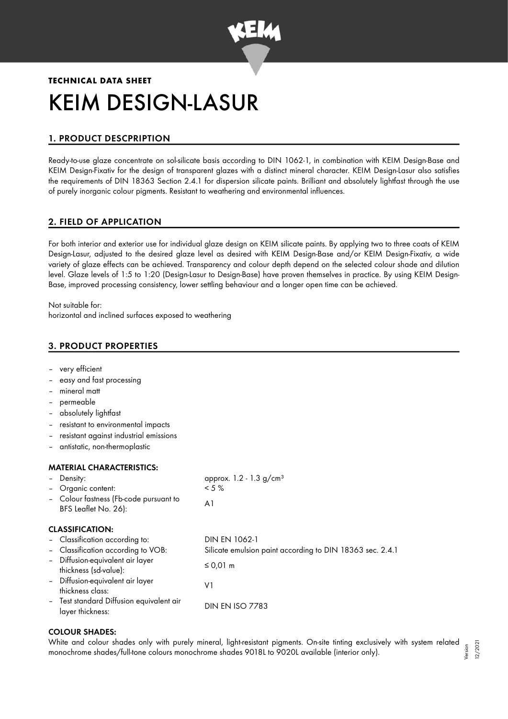

# **TECHNICAL DATA SHEET** KEIM DESIGN-LASUR

# 1. PRODUCT DESCPRIPTION

Ready-to-use glaze concentrate on sol-silicate basis according to DIN 1062-1, in combination with KEIM Design-Base and KEIM Design-Fixativ for the design of transparent glazes with a distinct mineral character. KEIM Design-Lasur also satisfies the requirements of DIN 18363 Section 2.4.1 for dispersion silicate paints. Brilliant and absolutely lightfast through the use of purely inorganic colour pigments. Resistant to weathering and environmental influences.

# 2. FIELD OF APPLICATION

For both interior and exterior use for individual glaze design on KEIM silicate paints. By applying two to three coats of KEIM Design-Lasur, adjusted to the desired glaze level as desired with KEIM Design-Base and/or KEIM Design-Fixativ, a wide variety of glaze effects can be achieved. Transparency and colour depth depend on the selected colour shade and dilution level. Glaze levels of 1:5 to 1:20 (Design-Lasur to Design-Base) have proven themselves in practice. By using KEIM Design-Base, improved processing consistency, lower settling behaviour and a longer open time can be achieved.

Not suitable for: horizontal and inclined surfaces exposed to weathering

# 3. PRODUCT PROPERTIES

| very efficient |
|----------------|
|----------------|

- easy and fast processing
- mineral matt
- permeable
- absolutely lightfast
- resistant to environmental impacts
- resistant against industrial emissions
- antistatic, non-thermoplastic

#### MATERIAL CHARACTERISTICS:

| - Density:<br>- Organic content:<br>- Colour fastness (Fb-code pursuant to<br>BFS Leaflet No. 26): | approx. 1.2 - 1.3 g/cm <sup>3</sup><br>$< 5 \%$<br>A1     |
|----------------------------------------------------------------------------------------------------|-----------------------------------------------------------|
| <b>CLASSIFICATION:</b>                                                                             |                                                           |
| - Classification according to:                                                                     | DIN EN 1062-1                                             |
| - Classification according to VOB:                                                                 | Silicate emulsion paint according to DIN 18363 sec. 2.4.1 |
| - Diffusion-equivalent air layer<br>thickness (sd-value):                                          | ≤ 0,01 m                                                  |
| - Diffusion-equivalent air layer<br>thickness class:                                               | ٧1                                                        |
| - Test standard Diffusion equivalent air<br>layer thickness:                                       | <b>DIN EN ISO 7783</b>                                    |

## COLOUR SHADES:

White and colour shades only with purely mineral, light-resistant pigments. On-site tinting exclusively with system related monochrome shades/full-tone colours monochrome shades 9018L to 9020L available (interior only). Version 12/2021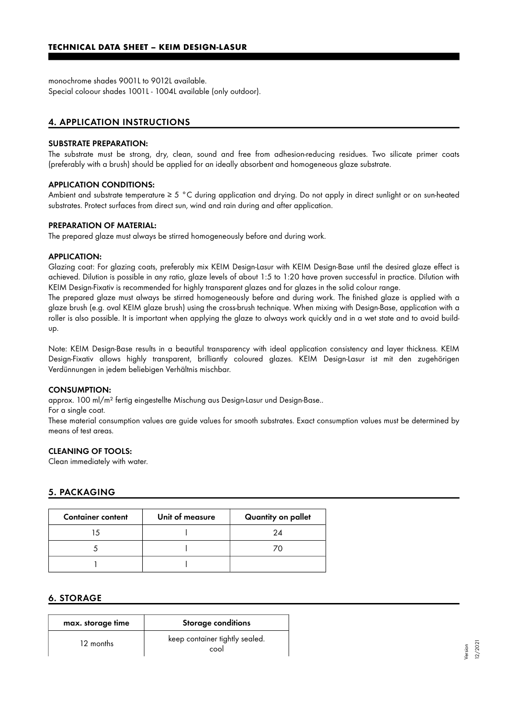monochrome shades 9001L to 9012L available. Special coloour shades 1001L - 1004L available (only outdoor).

## 4. APPLICATION INSTRUCTIONS

#### SUBSTRATE PREPARATION:

The substrate must be strong, dry, clean, sound and free from adhesion-reducing residues. Two silicate primer coats (preferably with a brush) should be applied for an ideally absorbent and homogeneous glaze substrate.

#### APPLICATION CONDITIONS:

Ambient and substrate temperature ≥ 5 °C during application and drying. Do not apply in direct sunlight or on sun-heated substrates. Protect surfaces from direct sun, wind and rain during and after application.

#### PREPARATION OF MATERIAL:

The prepared glaze must always be stirred homogeneously before and during work.

#### APPLICATION:

Glazing coat: For glazing coats, preferably mix KEIM Design-Lasur with KEIM Design-Base until the desired glaze effect is achieved. Dilution is possible in any ratio, glaze levels of about 1:5 to 1:20 have proven successful in practice. Dilution with KEIM Design-Fixativ is recommended for highly transparent glazes and for glazes in the solid colour range.

The prepared glaze must always be stirred homogeneously before and during work. The finished glaze is applied with a glaze brush (e.g. oval KEIM glaze brush) using the cross-brush technique. When mixing with Design-Base, application with a roller is also possible. It is important when applying the glaze to always work quickly and in a wet state and to avoid buildup.

Note: KEIM Design-Base results in a beautiful transparency with ideal application consistency and layer thickness. KEIM Design-Fixativ allows highly transparent, brilliantly coloured glazes. KEIM Design-Lasur ist mit den zugehörigen Verdünnungen in jedem beliebigen Verhältnis mischbar.

#### CONSUMPTION:

approx. 100 ml/m² fertig eingestellte Mischung aus Design-Lasur und Design-Base..

For a single coat.

These material consumption values are guide values for smooth substrates. Exact consumption values must be determined by means of test areas.

#### CLEANING OF TOOLS:

Clean immediately with water.

## 5. PACKAGING

| <b>Container content</b> | Unit of measure | Quantity on pallet |
|--------------------------|-----------------|--------------------|
|                          |                 | 2Δ                 |
|                          |                 |                    |
|                          |                 |                    |

## 6. STORAGE

| max. storage time | <b>Storage conditions</b>              |
|-------------------|----------------------------------------|
| 12 months         | keep container tightly sealed.<br>cool |